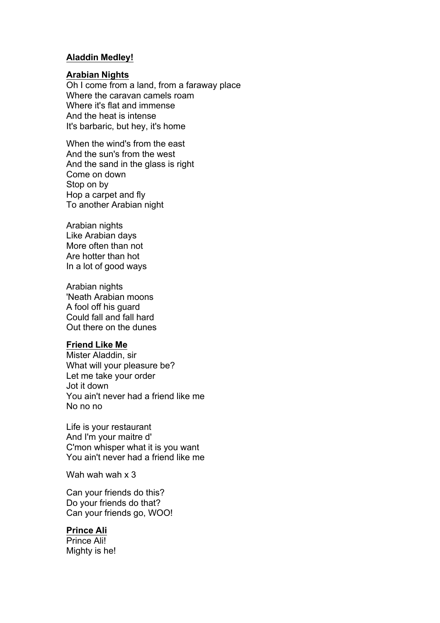## **Aladdin Medley!**

#### **Arabian Nights**

Oh I come from a land, from a faraway place Where the caravan camels roam Where it's flat and immense And the heat is intense It's barbaric, but hey, it's home

When the wind's from the east And the sun's from the west And the sand in the glass is right Come on down Stop on by Hop a carpet and fly To another Arabian night

Arabian nights Like Arabian days More often than not Are hotter than hot In a lot of good ways

Arabian nights 'Neath Arabian moons A fool off his guard Could fall and fall hard Out there on the dunes

## **Friend Like Me**

Mister Aladdin, sir What will your pleasure be? Let me take your order Jot it down You ain't never had a friend like me No no no

Life is your restaurant And I'm your maitre d' C'mon whisper what it is you want You ain't never had a friend like me

Wah wah wah x 3

Can your friends do this? Do your friends do that? Can your friends go, WOO!

# **Prince Ali**

Prince Ali! Mighty is he!